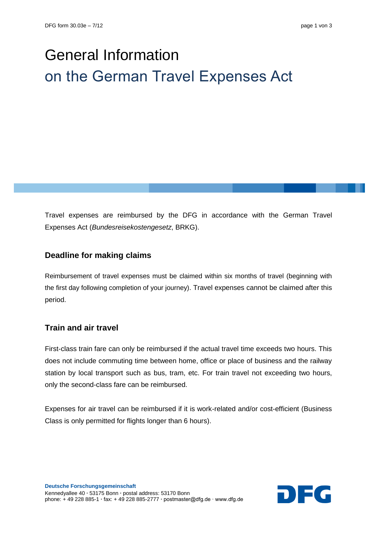# General Information on the German Travel Expenses Act

Travel expenses are reimbursed by the DFG in accordance with the German Travel Expenses Act (*Bundesreisekostengesetz*, BRKG).

## **Deadline for making claims**

Reimbursement of travel expenses must be claimed within six months of travel (beginning with the first day following completion of your journey). Travel expenses cannot be claimed after this period.

## **Train and air travel**

First-class train fare can only be reimbursed if the actual travel time exceeds two hours. This does not include commuting time between home, office or place of business and the railway station by local transport such as bus, tram, etc. For train travel not exceeding two hours, only the second-class fare can be reimbursed.

Expenses for air travel can be reimbursed if it is work-related and/or cost-efficient (Business Class is only permitted for flights longer than 6 hours).

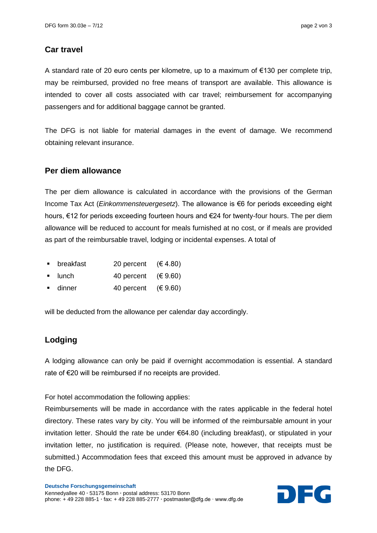#### **Car travel**

A standard rate of 20 euro cents per kilometre, up to a maximum of  $\epsilon$ 130 per complete trip, may be reimbursed, provided no free means of transport are available. This allowance is intended to cover all costs associated with car travel; reimbursement for accompanying passengers and for additional baggage cannot be granted.

The DFG is not liable for material damages in the event of damage. We recommend obtaining relevant insurance.

#### **Per diem allowance**

The per diem allowance is calculated in accordance with the provisions of the German Income Tax Act (*Einkommensteuergesetz*). The allowance is €6 for periods exceeding eight hours, €12 for periods exceeding fourteen hours and €24 for twenty-four hours. The per diem allowance will be reduced to account for meals furnished at no cost, or if meals are provided as part of the reimbursable travel, lodging or incidental expenses. A total of

- breakfast 20 percent (€ 4.80)
- lunch  $40$  percent  $(69.60)$
- dinner  $40$  percent  $(69.60)$

will be deducted from the allowance per calendar day accordingly.

## **Lodging**

A lodging allowance can only be paid if overnight accommodation is essential. A standard rate of €20 will be reimbursed if no receipts are provided.

For hotel accommodation the following applies:

Reimbursements will be made in accordance with the rates applicable in the federal hotel directory. These rates vary by city. You will be informed of the reimbursable amount in your invitation letter. Should the rate be under €64.80 (including breakfast), or stipulated in your invitation letter, no justification is required. (Please note, however, that receipts must be submitted.) Accommodation fees that exceed this amount must be approved in advance by the DFG.